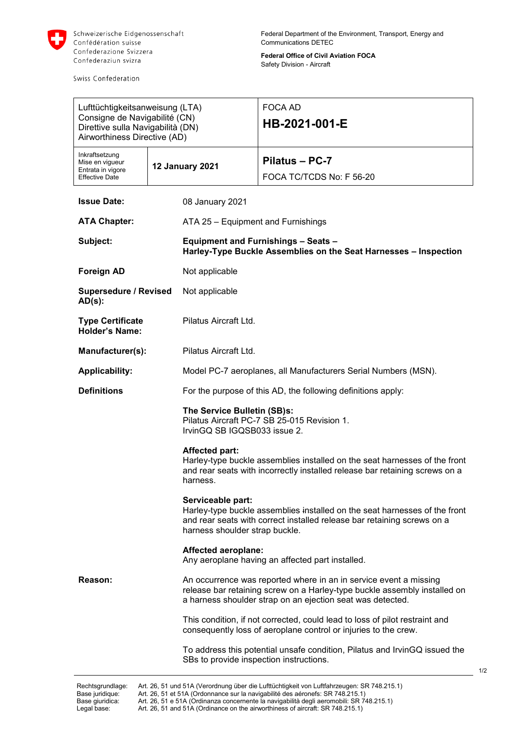

Swiss Confederation

**Federal Office of Civil Aviation FOCA** Safety Division - Aircraft

| Lufttüchtigkeitsanweisung (LTA)<br>Consigne de Navigabilité (CN)<br>Direttive sulla Navigabilità (DN)<br>Airworthiness Directive (AD) |                 |                                                                | <b>FOCA AD</b><br>HB-2021-001-E                                                                                                                                                                              |  |
|---------------------------------------------------------------------------------------------------------------------------------------|-----------------|----------------------------------------------------------------|--------------------------------------------------------------------------------------------------------------------------------------------------------------------------------------------------------------|--|
| Inkraftsetzung<br>Mise en vigueur<br>Entrata in vigore<br><b>Effective Date</b>                                                       | 12 January 2021 |                                                                | Pilatus - PC-7<br>FOCA TC/TCDS No: F 56-20                                                                                                                                                                   |  |
| <b>Issue Date:</b>                                                                                                                    |                 | 08 January 2021                                                |                                                                                                                                                                                                              |  |
| <b>ATA Chapter:</b>                                                                                                                   |                 | ATA 25 - Equipment and Furnishings                             |                                                                                                                                                                                                              |  |
| Subject:                                                                                                                              |                 |                                                                | <b>Equipment and Furnishings - Seats -</b><br>Harley-Type Buckle Assemblies on the Seat Harnesses - Inspection                                                                                               |  |
| <b>Foreign AD</b>                                                                                                                     |                 | Not applicable                                                 |                                                                                                                                                                                                              |  |
| <b>Supersedure / Revised</b><br>$AD(s)$ :                                                                                             |                 | Not applicable                                                 |                                                                                                                                                                                                              |  |
| <b>Type Certificate</b><br><b>Holder's Name:</b>                                                                                      |                 | Pilatus Aircraft Ltd.                                          |                                                                                                                                                                                                              |  |
| Manufacturer(s):                                                                                                                      |                 | Pilatus Aircraft Ltd.                                          |                                                                                                                                                                                                              |  |
| <b>Applicability:</b>                                                                                                                 |                 | Model PC-7 aeroplanes, all Manufacturers Serial Numbers (MSN). |                                                                                                                                                                                                              |  |
| <b>Definitions</b>                                                                                                                    |                 |                                                                | For the purpose of this AD, the following definitions apply:                                                                                                                                                 |  |
|                                                                                                                                       |                 | The Service Bulletin (SB)s:<br>IrvinGQ SB IGQSB033 issue 2.    | Pilatus Aircraft PC-7 SB 25-015 Revision 1.                                                                                                                                                                  |  |
|                                                                                                                                       |                 | <b>Affected part:</b><br>harness.                              | Harley-type buckle assemblies installed on the seat harnesses of the front<br>and rear seats with incorrectly installed release bar retaining screws on a                                                    |  |
|                                                                                                                                       |                 | Serviceable part:<br>harness shoulder strap buckle.            | Harley-type buckle assemblies installed on the seat harnesses of the front<br>and rear seats with correct installed release bar retaining screws on a                                                        |  |
|                                                                                                                                       |                 | <b>Affected aeroplane:</b>                                     | Any aeroplane having an affected part installed.                                                                                                                                                             |  |
| Reason:                                                                                                                               |                 |                                                                | An occurrence was reported where in an in service event a missing<br>release bar retaining screw on a Harley-type buckle assembly installed on<br>a harness shoulder strap on an ejection seat was detected. |  |
|                                                                                                                                       |                 |                                                                | This condition, if not corrected, could lead to loss of pilot restraint and<br>consequently loss of aeroplane control or injuries to the crew.                                                               |  |
|                                                                                                                                       |                 | SBs to provide inspection instructions.                        | To address this potential unsafe condition, Pilatus and IrvinGQ issued the                                                                                                                                   |  |
| Rechtsgrundlage:                                                                                                                      |                 |                                                                | Art. 26, 51 und 51A (Verordnung über die Lufttüchtigkeit von Luftfahrzeugen: SR 748.215.1)                                                                                                                   |  |